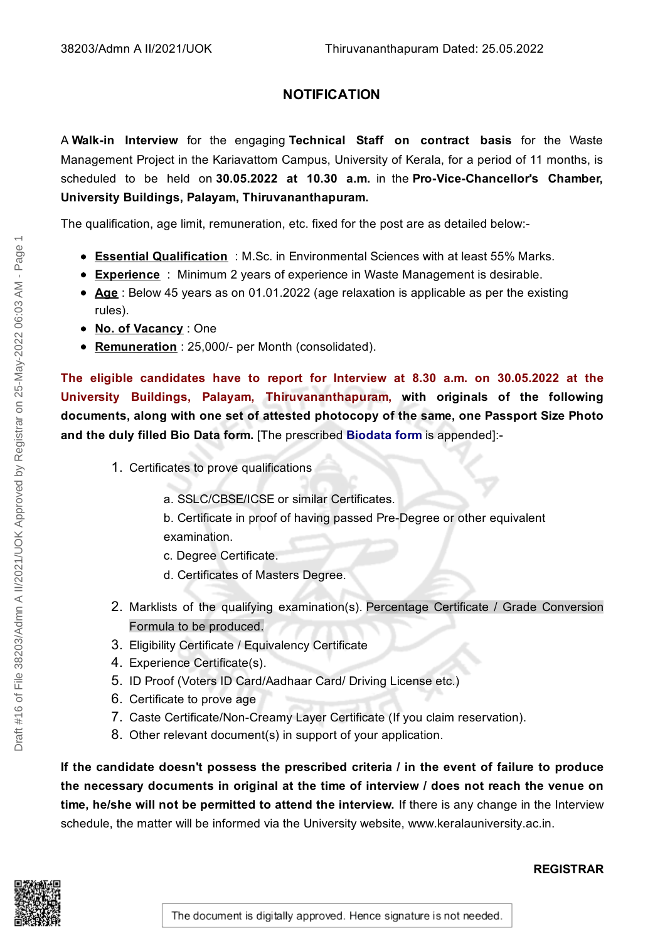## **NOTIFICATION**

A **Walk-in Interview** for the engaging **Technical Staff on contract basis** for the Waste Management Project in the Kariavattom Campus, University of Kerala, for a period of 11 months, is scheduled to be held on **30.05.2022 at 10.30 a.m.** in the **Pro-Vice-Chancellor's Chamber, University Buildings, Palayam, Thiruvananthapuram.**

The qualification, age limit, remuneration, etc. fixed for the post are as detailed below:-

- **Essential Qualification** : M.Sc. in Environmental Sciences with at least 55% Marks.
- **Experience** : Minimum 2 years of experience in Waste Management is desirable.
- **Age** : Below 45 years as on 01.01.2022 (age relaxation is applicable as per the existing rules).
- **No. of Vacancy** : One
- **Remuneration** : 25,000/- per Month (consolidated).

**The eligible candidates have to report for Interview at 8.30 a.m. on 30.05.2022 at the University Buildings, Palayam, Thiruvananthapuram, with originals of the following documents, along with one set of attested photocopy of the same, one Passport Size Photo and the duly filled Bio Data form.** [The prescribed **Biodata form** is appended]:-

- 1. Certificates to prove qualifications
	- a. SSLC/CBSE/ICSE or similar Certificates.
	- b. Certificate in proof of having passed Pre-Degree or other equivalent examination.
	- c. Degree Certificate.
	- d. Certificates of Masters Degree.
- 2. Marklists of the qualifying examination(s). Percentage Certificate / Grade Conversion Formula to be produced.
- 3. Eligibility Certificate / Equivalency Certificate
- 4. Experience Certificate(s).
- 5. ID Proof (Voters ID Card/Aadhaar Card/ Driving License etc.)
- 6. Certificate to prove age
- 7. Caste Certificate/Non-Creamy Layer Certificate (If you claim reservation).
- 8. Other relevant document(s) in support of your application.

**If the candidate doesn't possess the prescribed criteria / in the event of failure to produce the necessary documents in original at the time of interview / does not reach the venue on time, he/she will not be permitted to attend the interview.** If there is any change in the Interview schedule, the matter will be informed via the University website, www.keralauniversity.ac.in.



#### **REGISTRAR**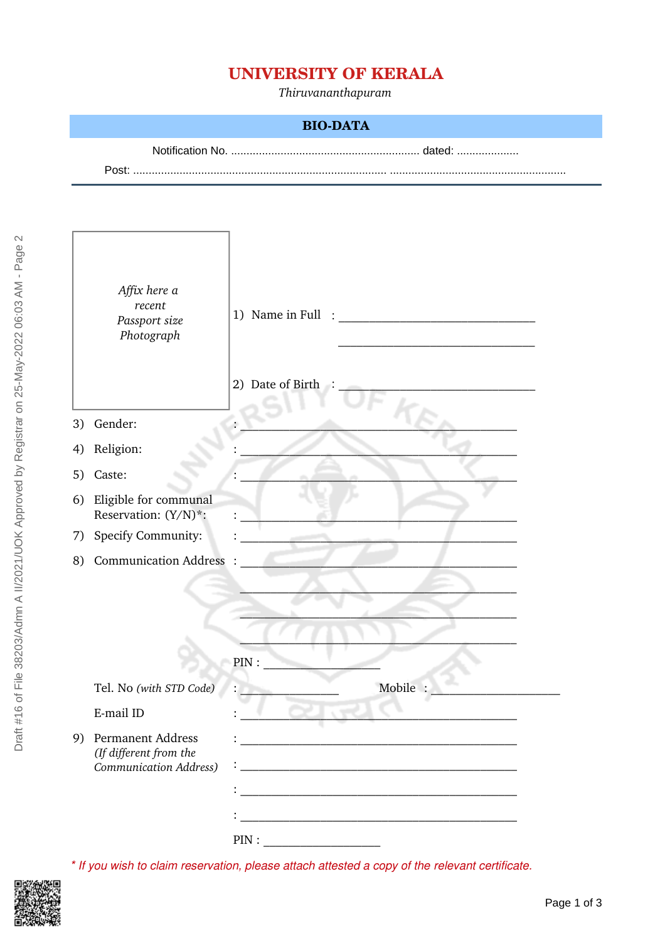# **UNIVERSITY OF KERALA**

*Thiruvananthapuram*

#### **BIO-DATA**

Notification No. ............................................................. dated: ....................

Post: .................................................................................. .........................................................

|    | Affix here a<br>recent<br>Passport size<br>Photograph                    | 1) Name in Full<br>2) Date of Birth                                                                                   |
|----|--------------------------------------------------------------------------|-----------------------------------------------------------------------------------------------------------------------|
| 3) | Gender:                                                                  |                                                                                                                       |
| 4) | Religion:                                                                |                                                                                                                       |
| 5) | Caste:                                                                   |                                                                                                                       |
| 6) | Eligible for communal<br>Reservation: (Y/N)*:                            |                                                                                                                       |
| 7) | Specify Community:                                                       |                                                                                                                       |
| 8) | <b>Communication Address</b>                                             |                                                                                                                       |
|    |                                                                          | PIN:                                                                                                                  |
|    | Tel. No (with STD Code)                                                  | Mobile :                                                                                                              |
|    | E-mail ID                                                                |                                                                                                                       |
|    | 9) Permanent Address<br>(If different from the<br>Communication Address) | <u> 1989 - Johann Harry Harry Harry Harry Harry Harry Harry Harry Harry Harry Harry Harry Harry Harry Harry Harry</u> |

*\* If you wish to claim reservation, please attach attested a copy of the relevant certificate.*

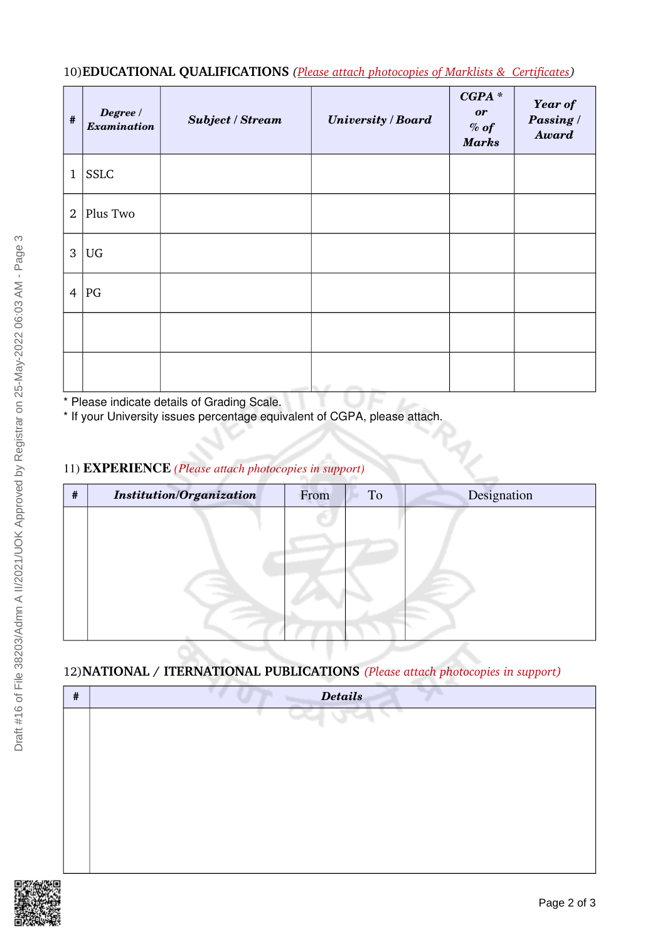## 10)**EDUCATIONAL QUALIFICATIONS** *(Please attach photocopies of Marklists & Certificates)*

| $\#$           | Degree /<br>Examination | <b>Subject / Stream</b> | <b>University / Board</b> | $CGPA*$<br><b>or</b><br>$%$ of<br><b>Marks</b> | <b>Year of</b><br>Passing /<br><b>Award</b> |
|----------------|-------------------------|-------------------------|---------------------------|------------------------------------------------|---------------------------------------------|
| $\mathbf{1}$   | <b>SSLC</b>             |                         |                           |                                                |                                             |
| $\overline{2}$ | Plus Two                |                         |                           |                                                |                                             |
| $\mathfrak{B}$ | UG                      |                         |                           |                                                |                                             |
| $\overline{4}$ | PG                      |                         |                           |                                                |                                             |
|                |                         |                         |                           |                                                |                                             |
|                |                         |                         |                           |                                                |                                             |

\* Please indicate details of Grading Scale.

\* If your University issues percentage equivalent of CGPA, please attach.

### 11) EXPERIENCE *(Please attach photocopies in support)*

| # | <b>Institution/Organization</b> | From | To | Designation |
|---|---------------------------------|------|----|-------------|
|   |                                 |      |    |             |
|   |                                 |      |    |             |
|   |                                 |      |    |             |
|   |                                 |      |    |             |
|   |                                 |      |    |             |
|   |                                 |      |    |             |

.<br>V

## 12)**NATIONAL / ITERNATIONAL PUBLICATIONS** *(Please attach photocopies in support)*

| # | <b>Details</b> |
|---|----------------|
|   | v.             |
|   |                |
|   |                |
|   |                |
|   |                |
|   |                |
|   |                |
|   |                |